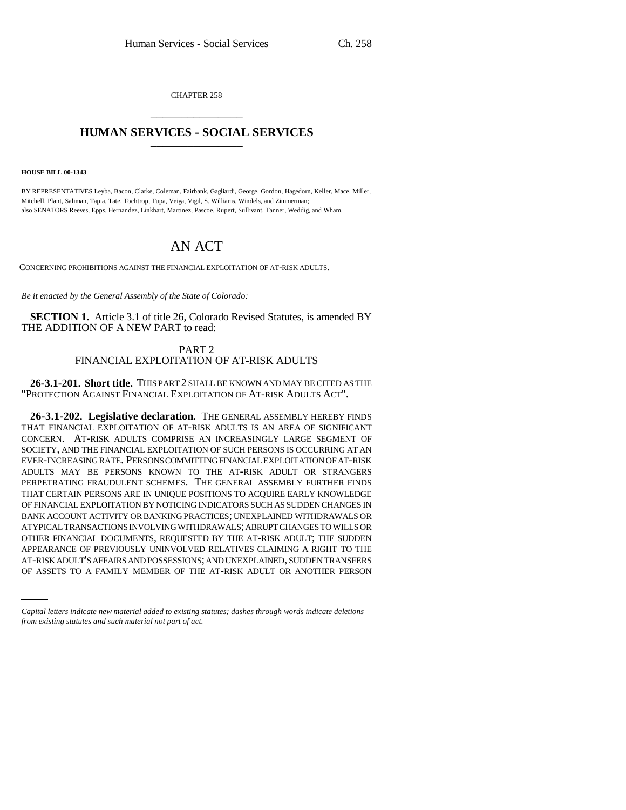CHAPTER 258 \_\_\_\_\_\_\_\_\_\_\_\_\_\_\_

## **HUMAN SERVICES - SOCIAL SERVICES** \_\_\_\_\_\_\_\_\_\_\_\_\_\_\_

**HOUSE BILL 00-1343** 

BY REPRESENTATIVES Leyba, Bacon, Clarke, Coleman, Fairbank, Gagliardi, George, Gordon, Hagedorn, Keller, Mace, Miller, Mitchell, Plant, Saliman, Tapia, Tate, Tochtrop, Tupa, Veiga, Vigil, S. Williams, Windels, and Zimmerman; also SENATORS Reeves, Epps, Hernandez, Linkhart, Martinez, Pascoe, Rupert, Sullivant, Tanner, Weddig, and Wham.

## AN ACT

CONCERNING PROHIBITIONS AGAINST THE FINANCIAL EXPLOITATION OF AT-RISK ADULTS.

*Be it enacted by the General Assembly of the State of Colorado:*

**SECTION 1.** Article 3.1 of title 26, Colorado Revised Statutes, is amended BY THE ADDITION OF A NEW PART to read:

> PART 2 FINANCIAL EXPLOITATION OF AT-RISK ADULTS

**26-3.1-201. Short title.** THIS PART 2 SHALL BE KNOWN AND MAY BE CITED AS THE "PROTECTION AGAINST FINANCIAL EXPLOITATION OF AT-RISK ADULTS ACT".

APPEARANCE OF PREVIOUSLY UNINVOLVED RELATIVES CLAIMING A RIGHT TO THE **26-3.1-202. Legislative declaration.** THE GENERAL ASSEMBLY HEREBY FINDS THAT FINANCIAL EXPLOITATION OF AT-RISK ADULTS IS AN AREA OF SIGNIFICANT CONCERN. AT-RISK ADULTS COMPRISE AN INCREASINGLY LARGE SEGMENT OF SOCIETY, AND THE FINANCIAL EXPLOITATION OF SUCH PERSONS IS OCCURRING AT AN EVER-INCREASING RATE. PERSONS COMMITTING FINANCIAL EXPLOITATION OF AT-RISK ADULTS MAY BE PERSONS KNOWN TO THE AT-RISK ADULT OR STRANGERS PERPETRATING FRAUDULENT SCHEMES. THE GENERAL ASSEMBLY FURTHER FINDS THAT CERTAIN PERSONS ARE IN UNIQUE POSITIONS TO ACQUIRE EARLY KNOWLEDGE OF FINANCIAL EXPLOITATION BY NOTICING INDICATORS SUCH AS SUDDEN CHANGES IN BANK ACCOUNT ACTIVITY OR BANKING PRACTICES; UNEXPLAINED WITHDRAWALS OR ATYPICAL TRANSACTIONS INVOLVING WITHDRAWALS; ABRUPT CHANGES TO WILLS OR OTHER FINANCIAL DOCUMENTS, REQUESTED BY THE AT-RISK ADULT; THE SUDDEN AT-RISK ADULT'S AFFAIRS AND POSSESSIONS; AND UNEXPLAINED, SUDDEN TRANSFERS OF ASSETS TO A FAMILY MEMBER OF THE AT-RISK ADULT OR ANOTHER PERSON

*Capital letters indicate new material added to existing statutes; dashes through words indicate deletions from existing statutes and such material not part of act.*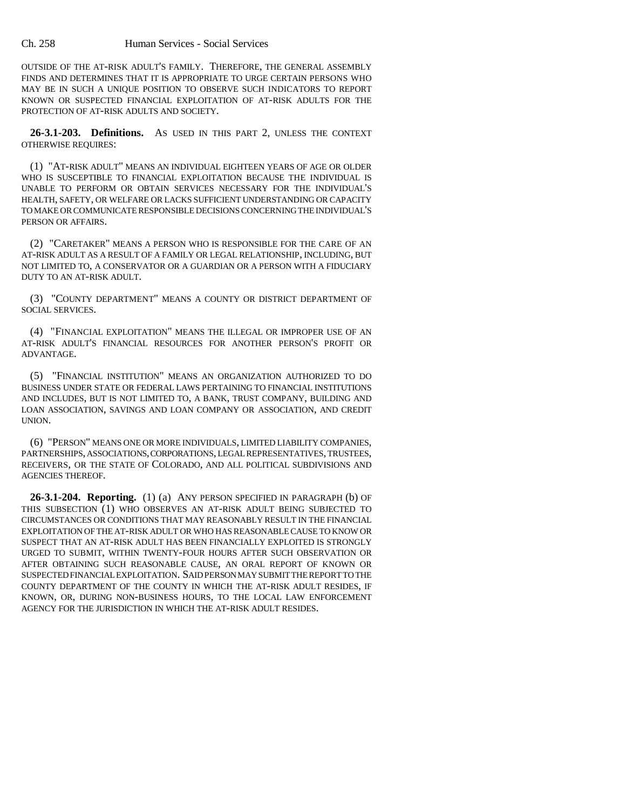OUTSIDE OF THE AT-RISK ADULT'S FAMILY. THEREFORE, THE GENERAL ASSEMBLY FINDS AND DETERMINES THAT IT IS APPROPRIATE TO URGE CERTAIN PERSONS WHO MAY BE IN SUCH A UNIQUE POSITION TO OBSERVE SUCH INDICATORS TO REPORT KNOWN OR SUSPECTED FINANCIAL EXPLOITATION OF AT-RISK ADULTS FOR THE PROTECTION OF AT-RISK ADULTS AND SOCIETY.

**26-3.1-203. Definitions.** AS USED IN THIS PART 2, UNLESS THE CONTEXT OTHERWISE REQUIRES:

(1) "AT-RISK ADULT" MEANS AN INDIVIDUAL EIGHTEEN YEARS OF AGE OR OLDER WHO IS SUSCEPTIBLE TO FINANCIAL EXPLOITATION BECAUSE THE INDIVIDUAL IS UNABLE TO PERFORM OR OBTAIN SERVICES NECESSARY FOR THE INDIVIDUAL'S HEALTH, SAFETY, OR WELFARE OR LACKS SUFFICIENT UNDERSTANDING OR CAPACITY TO MAKE OR COMMUNICATE RESPONSIBLE DECISIONS CONCERNING THE INDIVIDUAL'S PERSON OR AFFAIRS.

(2) "CARETAKER" MEANS A PERSON WHO IS RESPONSIBLE FOR THE CARE OF AN AT-RISK ADULT AS A RESULT OF A FAMILY OR LEGAL RELATIONSHIP, INCLUDING, BUT NOT LIMITED TO, A CONSERVATOR OR A GUARDIAN OR A PERSON WITH A FIDUCIARY DUTY TO AN AT-RISK ADULT.

(3) "COUNTY DEPARTMENT" MEANS A COUNTY OR DISTRICT DEPARTMENT OF SOCIAL SERVICES.

(4) "FINANCIAL EXPLOITATION" MEANS THE ILLEGAL OR IMPROPER USE OF AN AT-RISK ADULT'S FINANCIAL RESOURCES FOR ANOTHER PERSON'S PROFIT OR ADVANTAGE.

(5) "FINANCIAL INSTITUTION" MEANS AN ORGANIZATION AUTHORIZED TO DO BUSINESS UNDER STATE OR FEDERAL LAWS PERTAINING TO FINANCIAL INSTITUTIONS AND INCLUDES, BUT IS NOT LIMITED TO, A BANK, TRUST COMPANY, BUILDING AND LOAN ASSOCIATION, SAVINGS AND LOAN COMPANY OR ASSOCIATION, AND CREDIT UNION.

(6) "PERSON" MEANS ONE OR MORE INDIVIDUALS, LIMITED LIABILITY COMPANIES, PARTNERSHIPS, ASSOCIATIONS, CORPORATIONS, LEGAL REPRESENTATIVES, TRUSTEES, RECEIVERS, OR THE STATE OF COLORADO, AND ALL POLITICAL SUBDIVISIONS AND AGENCIES THEREOF.

**26-3.1-204. Reporting.** (1) (a) ANY PERSON SPECIFIED IN PARAGRAPH (b) OF THIS SUBSECTION (1) WHO OBSERVES AN AT-RISK ADULT BEING SUBJECTED TO CIRCUMSTANCES OR CONDITIONS THAT MAY REASONABLY RESULT IN THE FINANCIAL EXPLOITATION OF THE AT-RISK ADULT OR WHO HAS REASONABLE CAUSE TO KNOW OR SUSPECT THAT AN AT-RISK ADULT HAS BEEN FINANCIALLY EXPLOITED IS STRONGLY URGED TO SUBMIT, WITHIN TWENTY-FOUR HOURS AFTER SUCH OBSERVATION OR AFTER OBTAINING SUCH REASONABLE CAUSE, AN ORAL REPORT OF KNOWN OR SUSPECTED FINANCIAL EXPLOITATION. SAID PERSON MAY SUBMIT THE REPORT TO THE COUNTY DEPARTMENT OF THE COUNTY IN WHICH THE AT-RISK ADULT RESIDES, IF KNOWN, OR, DURING NON-BUSINESS HOURS, TO THE LOCAL LAW ENFORCEMENT AGENCY FOR THE JURISDICTION IN WHICH THE AT-RISK ADULT RESIDES.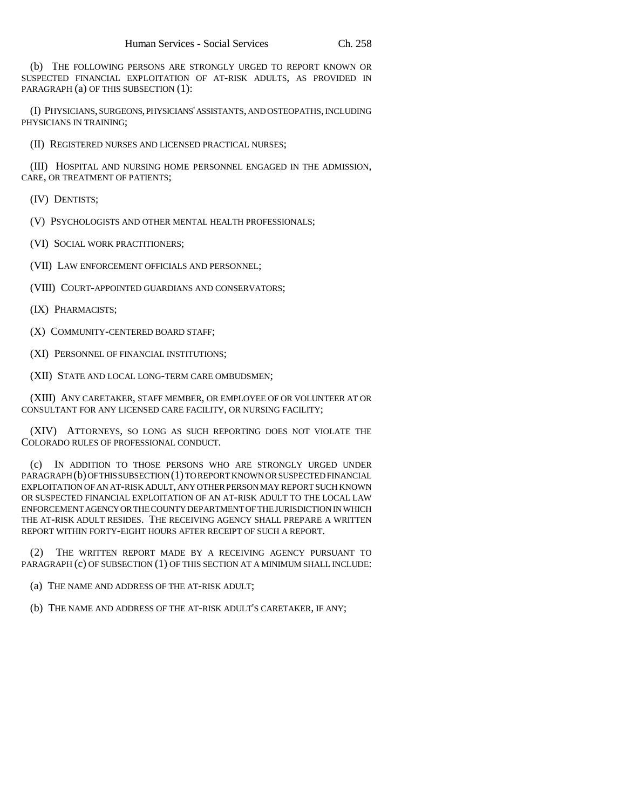(b) THE FOLLOWING PERSONS ARE STRONGLY URGED TO REPORT KNOWN OR SUSPECTED FINANCIAL EXPLOITATION OF AT-RISK ADULTS, AS PROVIDED IN PARAGRAPH (a) OF THIS SUBSECTION (1):

(I) PHYSICIANS, SURGEONS, PHYSICIANS' ASSISTANTS, AND OSTEOPATHS, INCLUDING PHYSICIANS IN TRAINING;

(II) REGISTERED NURSES AND LICENSED PRACTICAL NURSES;

(III) HOSPITAL AND NURSING HOME PERSONNEL ENGAGED IN THE ADMISSION, CARE, OR TREATMENT OF PATIENTS;

(IV) DENTISTS;

(V) PSYCHOLOGISTS AND OTHER MENTAL HEALTH PROFESSIONALS;

(VI) SOCIAL WORK PRACTITIONERS;

(VII) LAW ENFORCEMENT OFFICIALS AND PERSONNEL;

(VIII) COURT-APPOINTED GUARDIANS AND CONSERVATORS;

(IX) PHARMACISTS;

(X) COMMUNITY-CENTERED BOARD STAFF;

(XI) PERSONNEL OF FINANCIAL INSTITUTIONS;

(XII) STATE AND LOCAL LONG-TERM CARE OMBUDSMEN;

(XIII) ANY CARETAKER, STAFF MEMBER, OR EMPLOYEE OF OR VOLUNTEER AT OR CONSULTANT FOR ANY LICENSED CARE FACILITY, OR NURSING FACILITY;

(XIV) ATTORNEYS, SO LONG AS SUCH REPORTING DOES NOT VIOLATE THE COLORADO RULES OF PROFESSIONAL CONDUCT.

(c) IN ADDITION TO THOSE PERSONS WHO ARE STRONGLY URGED UNDER PARAGRAPH (b) OF THIS SUBSECTION (1) TO REPORT KNOWN OR SUSPECTED FINANCIAL EXPLOITATION OF AN AT-RISK ADULT, ANY OTHER PERSON MAY REPORT SUCH KNOWN OR SUSPECTED FINANCIAL EXPLOITATION OF AN AT-RISK ADULT TO THE LOCAL LAW ENFORCEMENT AGENCY OR THE COUNTY DEPARTMENT OF THE JURISDICTION IN WHICH THE AT-RISK ADULT RESIDES. THE RECEIVING AGENCY SHALL PREPARE A WRITTEN REPORT WITHIN FORTY-EIGHT HOURS AFTER RECEIPT OF SUCH A REPORT.

(2) THE WRITTEN REPORT MADE BY A RECEIVING AGENCY PURSUANT TO PARAGRAPH (c) OF SUBSECTION (1) OF THIS SECTION AT A MINIMUM SHALL INCLUDE:

(a) THE NAME AND ADDRESS OF THE AT-RISK ADULT;

(b) THE NAME AND ADDRESS OF THE AT-RISK ADULT'S CARETAKER, IF ANY;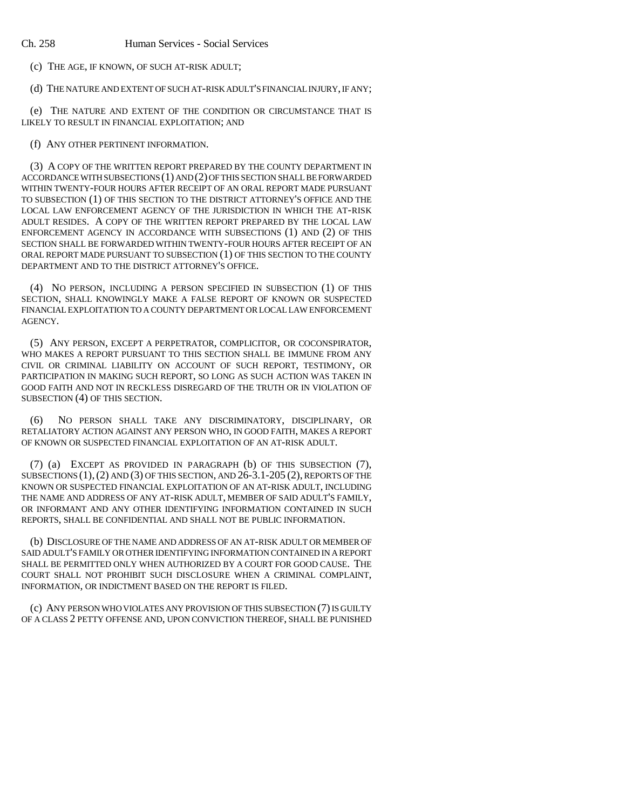(c) THE AGE, IF KNOWN, OF SUCH AT-RISK ADULT;

(d) THE NATURE AND EXTENT OF SUCH AT-RISK ADULT'S FINANCIAL INJURY, IF ANY;

(e) THE NATURE AND EXTENT OF THE CONDITION OR CIRCUMSTANCE THAT IS LIKELY TO RESULT IN FINANCIAL EXPLOITATION; AND

(f) ANY OTHER PERTINENT INFORMATION.

(3) A COPY OF THE WRITTEN REPORT PREPARED BY THE COUNTY DEPARTMENT IN ACCORDANCE WITH SUBSECTIONS (1) AND (2) OF THIS SECTION SHALL BE FORWARDED WITHIN TWENTY-FOUR HOURS AFTER RECEIPT OF AN ORAL REPORT MADE PURSUANT TO SUBSECTION (1) OF THIS SECTION TO THE DISTRICT ATTORNEY'S OFFICE AND THE LOCAL LAW ENFORCEMENT AGENCY OF THE JURISDICTION IN WHICH THE AT-RISK ADULT RESIDES. A COPY OF THE WRITTEN REPORT PREPARED BY THE LOCAL LAW ENFORCEMENT AGENCY IN ACCORDANCE WITH SUBSECTIONS (1) AND (2) OF THIS SECTION SHALL BE FORWARDED WITHIN TWENTY-FOUR HOURS AFTER RECEIPT OF AN ORAL REPORT MADE PURSUANT TO SUBSECTION (1) OF THIS SECTION TO THE COUNTY DEPARTMENT AND TO THE DISTRICT ATTORNEY'S OFFICE.

(4) NO PERSON, INCLUDING A PERSON SPECIFIED IN SUBSECTION (1) OF THIS SECTION, SHALL KNOWINGLY MAKE A FALSE REPORT OF KNOWN OR SUSPECTED FINANCIAL EXPLOITATION TO A COUNTY DEPARTMENT OR LOCAL LAW ENFORCEMENT AGENCY.

(5) ANY PERSON, EXCEPT A PERPETRATOR, COMPLICITOR, OR COCONSPIRATOR, WHO MAKES A REPORT PURSUANT TO THIS SECTION SHALL BE IMMUNE FROM ANY CIVIL OR CRIMINAL LIABILITY ON ACCOUNT OF SUCH REPORT, TESTIMONY, OR PARTICIPATION IN MAKING SUCH REPORT, SO LONG AS SUCH ACTION WAS TAKEN IN GOOD FAITH AND NOT IN RECKLESS DISREGARD OF THE TRUTH OR IN VIOLATION OF SUBSECTION (4) OF THIS SECTION.

(6) NO PERSON SHALL TAKE ANY DISCRIMINATORY, DISCIPLINARY, OR RETALIATORY ACTION AGAINST ANY PERSON WHO, IN GOOD FAITH, MAKES A REPORT OF KNOWN OR SUSPECTED FINANCIAL EXPLOITATION OF AN AT-RISK ADULT.

(7) (a) EXCEPT AS PROVIDED IN PARAGRAPH (b) OF THIS SUBSECTION (7), SUBSECTIONS (1),(2) AND (3) OF THIS SECTION, AND 26-3.1-205 (2), REPORTS OF THE KNOWN OR SUSPECTED FINANCIAL EXPLOITATION OF AN AT-RISK ADULT, INCLUDING THE NAME AND ADDRESS OF ANY AT-RISK ADULT, MEMBER OF SAID ADULT'S FAMILY, OR INFORMANT AND ANY OTHER IDENTIFYING INFORMATION CONTAINED IN SUCH REPORTS, SHALL BE CONFIDENTIAL AND SHALL NOT BE PUBLIC INFORMATION.

(b) DISCLOSURE OF THE NAME AND ADDRESS OF AN AT-RISK ADULT OR MEMBER OF SAID ADULT'S FAMILY OR OTHER IDENTIFYING INFORMATION CONTAINED IN A REPORT SHALL BE PERMITTED ONLY WHEN AUTHORIZED BY A COURT FOR GOOD CAUSE. THE COURT SHALL NOT PROHIBIT SUCH DISCLOSURE WHEN A CRIMINAL COMPLAINT, INFORMATION, OR INDICTMENT BASED ON THE REPORT IS FILED.

(c) ANY PERSON WHO VIOLATES ANY PROVISION OF THIS SUBSECTION (7) IS GUILTY OF A CLASS 2 PETTY OFFENSE AND, UPON CONVICTION THEREOF, SHALL BE PUNISHED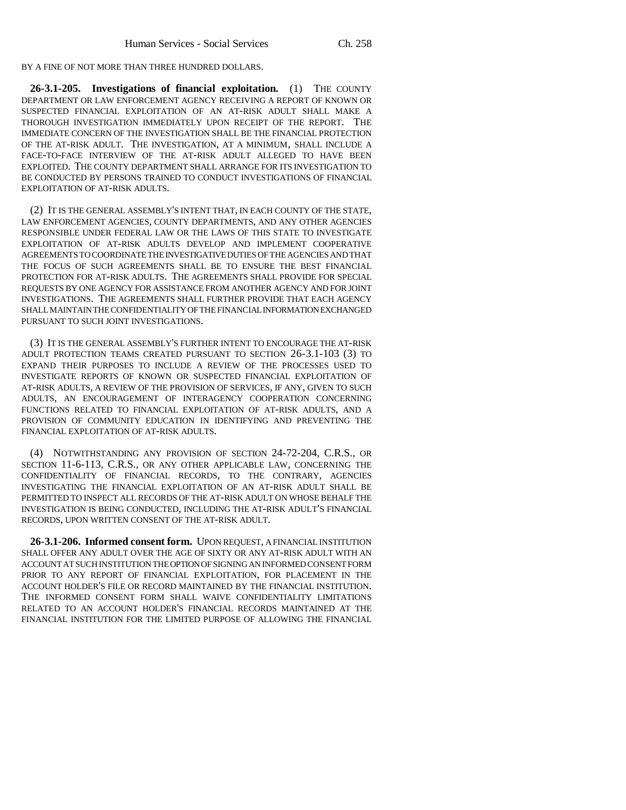BY A FINE OF NOT MORE THAN THREE HUNDRED DOLLARS.

**26-3.1-205. Investigations of financial exploitation.** (1) THE COUNTY DEPARTMENT OR LAW ENFORCEMENT AGENCY RECEIVING A REPORT OF KNOWN OR SUSPECTED FINANCIAL EXPLOITATION OF AN AT-RISK ADULT SHALL MAKE A THOROUGH INVESTIGATION IMMEDIATELY UPON RECEIPT OF THE REPORT. THE IMMEDIATE CONCERN OF THE INVESTIGATION SHALL BE THE FINANCIAL PROTECTION OF THE AT-RISK ADULT. THE INVESTIGATION, AT A MINIMUM, SHALL INCLUDE A FACE-TO-FACE INTERVIEW OF THE AT-RISK ADULT ALLEGED TO HAVE BEEN EXPLOITED. THE COUNTY DEPARTMENT SHALL ARRANGE FOR ITS INVESTIGATION TO BE CONDUCTED BY PERSONS TRAINED TO CONDUCT INVESTIGATIONS OF FINANCIAL EXPLOITATION OF AT-RISK ADULTS.

(2) IT IS THE GENERAL ASSEMBLY'S INTENT THAT, IN EACH COUNTY OF THE STATE, LAW ENFORCEMENT AGENCIES, COUNTY DEPARTMENTS, AND ANY OTHER AGENCIES RESPONSIBLE UNDER FEDERAL LAW OR THE LAWS OF THIS STATE TO INVESTIGATE EXPLOITATION OF AT-RISK ADULTS DEVELOP AND IMPLEMENT COOPERATIVE AGREEMENTS TO COORDINATE THE INVESTIGATIVE DUTIES OF THE AGENCIES AND THAT THE FOCUS OF SUCH AGREEMENTS SHALL BE TO ENSURE THE BEST FINANCIAL PROTECTION FOR AT-RISK ADULTS. THE AGREEMENTS SHALL PROVIDE FOR SPECIAL REQUESTS BY ONE AGENCY FOR ASSISTANCE FROM ANOTHER AGENCY AND FOR JOINT INVESTIGATIONS. THE AGREEMENTS SHALL FURTHER PROVIDE THAT EACH AGENCY SHALL MAINTAIN THE CONFIDENTIALITY OF THE FINANCIAL INFORMATION EXCHANGED PURSUANT TO SUCH JOINT INVESTIGATIONS.

(3) IT IS THE GENERAL ASSEMBLY'S FURTHER INTENT TO ENCOURAGE THE AT-RISK ADULT PROTECTION TEAMS CREATED PURSUANT TO SECTION 26-3.1-103 (3) TO EXPAND THEIR PURPOSES TO INCLUDE A REVIEW OF THE PROCESSES USED TO INVESTIGATE REPORTS OF KNOWN OR SUSPECTED FINANCIAL EXPLOITATION OF AT-RISK ADULTS, A REVIEW OF THE PROVISION OF SERVICES, IF ANY, GIVEN TO SUCH ADULTS, AN ENCOURAGEMENT OF INTERAGENCY COOPERATION CONCERNING FUNCTIONS RELATED TO FINANCIAL EXPLOITATION OF AT-RISK ADULTS, AND A PROVISION OF COMMUNITY EDUCATION IN IDENTIFYING AND PREVENTING THE FINANCIAL EXPLOITATION OF AT-RISK ADULTS.

(4) NOTWITHSTANDING ANY PROVISION OF SECTION 24-72-204, C.R.S., OR SECTION 11-6-113, C.R.S., OR ANY OTHER APPLICABLE LAW, CONCERNING THE CONFIDENTIALITY OF FINANCIAL RECORDS, TO THE CONTRARY, AGENCIES INVESTIGATING THE FINANCIAL EXPLOITATION OF AN AT-RISK ADULT SHALL BE PERMITTED TO INSPECT ALL RECORDS OF THE AT-RISK ADULT ON WHOSE BEHALF THE INVESTIGATION IS BEING CONDUCTED, INCLUDING THE AT-RISK ADULT'S FINANCIAL RECORDS, UPON WRITTEN CONSENT OF THE AT-RISK ADULT.

**26-3.1-206. Informed consent form.** UPON REQUEST, A FINANCIAL INSTITUTION SHALL OFFER ANY ADULT OVER THE AGE OF SIXTY OR ANY AT-RISK ADULT WITH AN ACCOUNT AT SUCH INSTITUTION THE OPTION OF SIGNING AN INFORMED CONSENT FORM PRIOR TO ANY REPORT OF FINANCIAL EXPLOITATION, FOR PLACEMENT IN THE ACCOUNT HOLDER'S FILE OR RECORD MAINTAINED BY THE FINANCIAL INSTITUTION. THE INFORMED CONSENT FORM SHALL WAIVE CONFIDENTIALITY LIMITATIONS RELATED TO AN ACCOUNT HOLDER'S FINANCIAL RECORDS MAINTAINED AT THE FINANCIAL INSTITUTION FOR THE LIMITED PURPOSE OF ALLOWING THE FINANCIAL